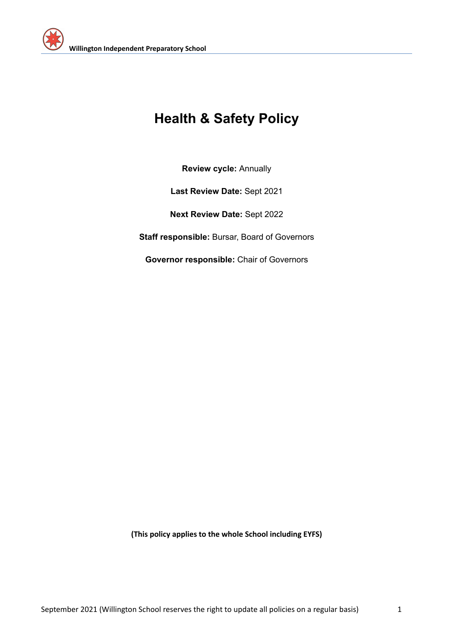

# **Health & Safety Policy**

**Review cycle:** Annually

**Last Review Date:** Sept 2021

**Next Review Date:** Sept 2022

**Staff responsible:** Bursar, Board of Governors

**Governor responsible:** Chair of Governors

**(This policy applies to the whole School including EYFS)**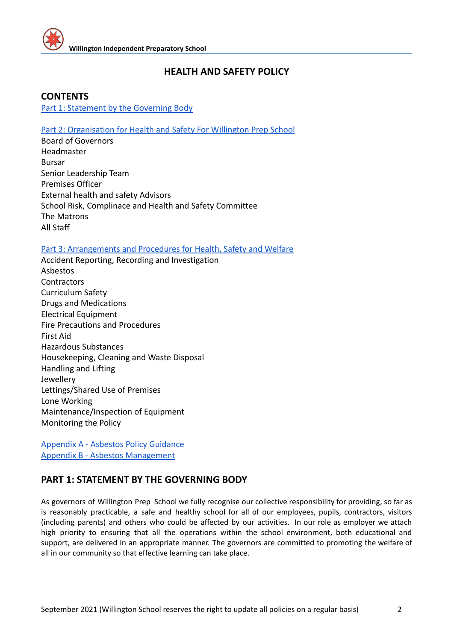

# **HEALTH AND SAFETY POLICY**

### <span id="page-1-1"></span>**CONTENTS**

[Part 1: Statement by the Governing Body](#page-1-0)

#### [Part 2: Organisation for Health and Safety For Willington Prep School](#page-4-0)

Board of Governors Headmaster Bursar Senior Leadership Team Premises Officer External health and safety Advisors School Risk, Complinace and Health and Safety Committee The Matrons All Staff

#### [Part 3: Arrangements and Procedures for Health, Safety and Welfare](#page-8-0)

Accident Reporting, Recording and Investigation Asbestos **Contractors** Curriculum Safety Drugs and Medications Electrical Equipment Fire Precautions and Procedures First Aid Hazardous Substances Housekeeping, Cleaning and Waste Disposal Handling and Lifting Jewellery Lettings/Shared Use of Premises Lone Working Maintenance/Inspection of Equipment Monitoring the Policy

[Appendix A - Asbestos Policy Guidance](#page-12-0) [Appendix B - Asbestos Management](#page-14-0)

# <span id="page-1-0"></span>**PART 1: STATEMENT BY THE GOVERNING BODY**

As governors of Willington Prep School we fully recognise our collective responsibility for providing, so far as is reasonably practicable, a safe and healthy school for all of our employees, pupils, contractors, visitors (including parents) and others who could be affected by our activities. In our role as employer we attach high priority to ensuring that all the operations within the school environment, both educational and support, are delivered in an appropriate manner. The governors are committed to promoting the welfare of all in our community so that effective learning can take place.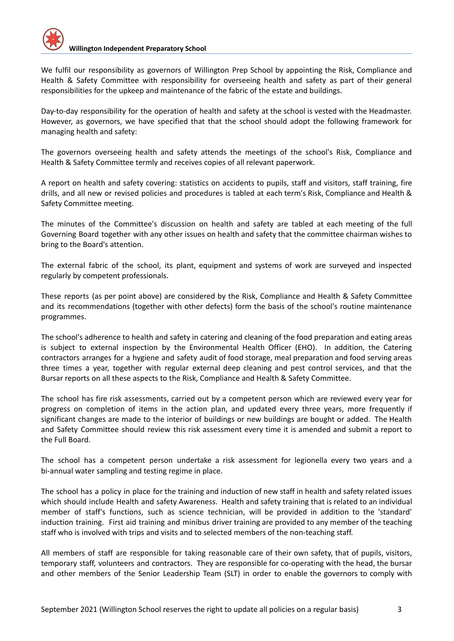We fulfil our responsibility as governors of Willington Prep School by appointing the Risk, Compliance and Health & Safety Committee with responsibility for overseeing health and safety as part of their general responsibilities for the upkeep and maintenance of the fabric of the estate and buildings.

Day-to-day responsibility for the operation of health and safety at the school is vested with the Headmaster. However, as governors, we have specified that that the school should adopt the following framework for managing health and safety:

The governors overseeing health and safety attends the meetings of the school's Risk, Compliance and Health & Safety Committee termly and receives copies of all relevant paperwork.

A report on health and safety covering: statistics on accidents to pupils, staff and visitors, staff training, fire drills, and all new or revised policies and procedures is tabled at each term's Risk, Compliance and Health & Safety Committee meeting.

The minutes of the Committee's discussion on health and safety are tabled at each meeting of the full Governing Board together with any other issues on health and safety that the committee chairman wishes to bring to the Board's attention.

The external fabric of the school, its plant, equipment and systems of work are surveyed and inspected regularly by competent professionals.

These reports (as per point above) are considered by the Risk, Compliance and Health & Safety Committee and its recommendations (together with other defects) form the basis of the school's routine maintenance programmes.

The school's adherence to health and safety in catering and cleaning of the food preparation and eating areas is subject to external inspection by the Environmental Health Officer (EHO). In addition, the Catering contractors arranges for a hygiene and safety audit of food storage, meal preparation and food serving areas three times a year, together with regular external deep cleaning and pest control services, and that the Bursar reports on all these aspects to the Risk, Compliance and Health & Safety Committee.

The school has fire risk assessments, carried out by a competent person which are reviewed every year for progress on completion of items in the action plan, and updated every three years, more frequently if significant changes are made to the interior of buildings or new buildings are bought or added. The Health and Safety Committee should review this risk assessment every time it is amended and submit a report to the Full Board.

The school has a competent person undertake a risk assessment for legionella every two years and a bi-annual water sampling and testing regime in place.

The school has a policy in place for the training and induction of new staff in health and safety related issues which should include Health and safety Awareness. Health and safety training that is related to an individual member of staff's functions, such as science technician, will be provided in addition to the 'standard' induction training. First aid training and minibus driver training are provided to any member of the teaching staff who is involved with trips and visits and to selected members of the non-teaching staff.

All members of staff are responsible for taking reasonable care of their own safety, that of pupils, visitors, temporary staff, volunteers and contractors. They are responsible for co-operating with the head, the bursar and other members of the Senior Leadership Team (SLT) in order to enable the governors to comply with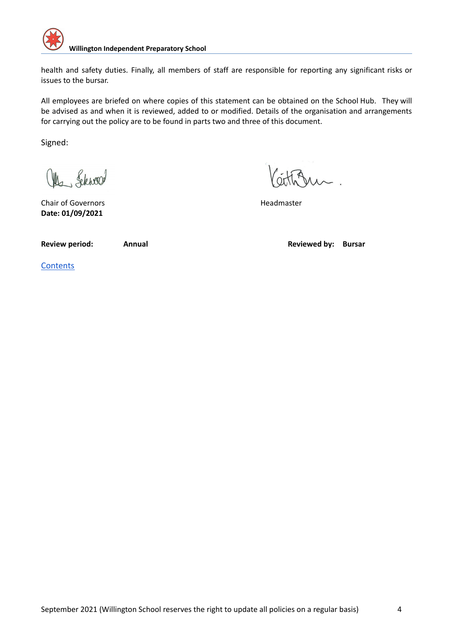

health and safety duties. Finally, all members of staff are responsible for reporting any significant risks or issues to the bursar.

All employees are briefed on where copies of this statement can be obtained on the School Hub. They will be advised as and when it is reviewed, added to or modified. Details of the organisation and arrangements for carrying out the policy are to be found in parts two and three of this document.

Signed:

Mr. Schwood

Chair of Governors **Headmaster Headmaster Date: 01/09/2021**

**Review period: Annual Reviewed by: Bursar**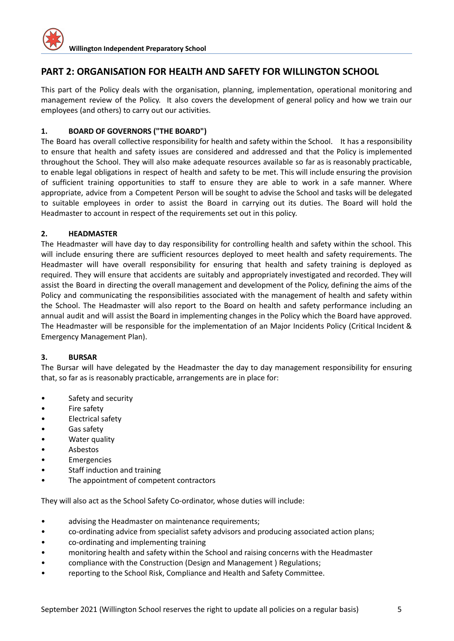

## <span id="page-4-0"></span>**PART 2: ORGANISATION FOR HEALTH AND SAFETY FOR WILLINGTON SCHOOL**

This part of the Policy deals with the organisation, planning, implementation, operational monitoring and management review of the Policy. It also covers the development of general policy and how we train our employees (and others) to carry out our activities.

#### **1. BOARD OF GOVERNORS ("THE BOARD")**

The Board has overall collective responsibility for health and safety within the School. It has a responsibility to ensure that health and safety issues are considered and addressed and that the Policy is implemented throughout the School. They will also make adequate resources available so far as is reasonably practicable, to enable legal obligations in respect of health and safety to be met. This will include ensuring the provision of sufficient training opportunities to staff to ensure they are able to work in a safe manner. Where appropriate, advice from a Competent Person will be sought to advise the School and tasks will be delegated to suitable employees in order to assist the Board in carrying out its duties. The Board will hold the Headmaster to account in respect of the requirements set out in this policy.

#### **2. HEADMASTER**

The Headmaster will have day to day responsibility for controlling health and safety within the school. This will include ensuring there are sufficient resources deployed to meet health and safety requirements. The Headmaster will have overall responsibility for ensuring that health and safety training is deployed as required. They will ensure that accidents are suitably and appropriately investigated and recorded. They will assist the Board in directing the overall management and development of the Policy, defining the aims of the Policy and communicating the responsibilities associated with the management of health and safety within the School. The Headmaster will also report to the Board on health and safety performance including an annual audit and will assist the Board in implementing changes in the Policy which the Board have approved. The Headmaster will be responsible for the implementation of an Major Incidents Policy (Critical Incident & Emergency Management Plan).

#### **3. BURSAR**

The Bursar will have delegated by the Headmaster the day to day management responsibility for ensuring that, so far as is reasonably practicable, arrangements are in place for:

- Safety and security
- Fire safety
- Electrical safety
- Gas safety
- Water quality
- Asbestos
- Emergencies
- Staff induction and training
- The appointment of competent contractors

They will also act as the School Safety Co-ordinator, whose duties will include:

- advising the Headmaster on maintenance requirements;
- co-ordinating advice from specialist safety advisors and producing associated action plans;
- co-ordinating and implementing training
- monitoring health and safety within the School and raising concerns with the Headmaster
- compliance with the Construction (Design and Management ) Regulations;
- reporting to the School Risk, Compliance and Health and Safety Committee.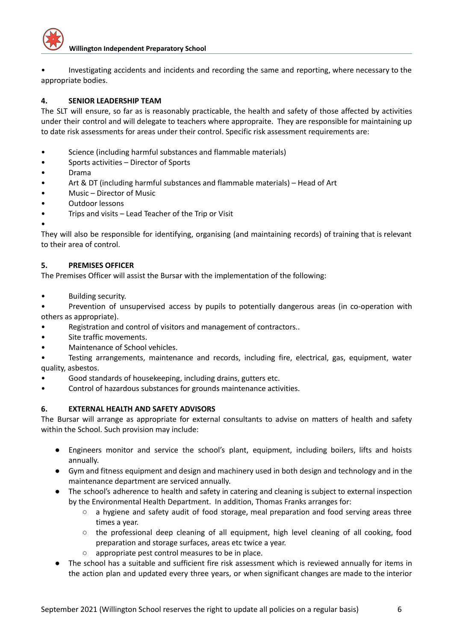

• Investigating accidents and incidents and recording the same and reporting, where necessary to the appropriate bodies.

#### **4. SENIOR LEADERSHIP TEAM**

The SLT will ensure, so far as is reasonably practicable, the health and safety of those affected by activities under their control and will delegate to teachers where appropraite. They are responsible for maintaining up to date risk assessments for areas under their control. Specific risk assessment requirements are:

- Science (including harmful substances and flammable materials)
- Sports activities Director of Sports
- Drama
- Art & DT (including harmful substances and flammable materials) Head of Art
- Music Director of Music
- Outdoor lessons
- Trips and visits Lead Teacher of the Trip or Visit
- •

They will also be responsible for identifying, organising (and maintaining records) of training that is relevant to their area of control.

#### **5. PREMISES OFFICER**

The Premises Officer will assist the Bursar with the implementation of the following:

• Building security.

Prevention of unsupervised access by pupils to potentially dangerous areas (in co-operation with others as appropriate).

- Registration and control of visitors and management of contractors..
- Site traffic movements.
- Maintenance of School vehicles.

• Testing arrangements, maintenance and records, including fire, electrical, gas, equipment, water quality, asbestos.

- Good standards of housekeeping, including drains, gutters etc.
- Control of hazardous substances for grounds maintenance activities.

#### **6. EXTERNAL HEALTH AND SAFETY ADVISORS**

The Bursar will arrange as appropriate for external consultants to advise on matters of health and safety within the School. Such provision may include:

- Engineers monitor and service the school's plant, equipment, including boilers, lifts and hoists annually.
- Gym and fitness equipment and design and machinery used in both design and technology and in the maintenance department are serviced annually.
- The school's adherence to health and safety in catering and cleaning is subject to external inspection by the Environmental Health Department. In addition, Thomas Franks arranges for:
	- a hygiene and safety audit of food storage, meal preparation and food serving areas three times a year.
	- the professional deep cleaning of all equipment, high level cleaning of all cooking, food preparation and storage surfaces, areas etc twice a year.
	- appropriate pest control measures to be in place.
- The school has a suitable and sufficient fire risk assessment which is reviewed annually for items in the action plan and updated every three years, or when significant changes are made to the interior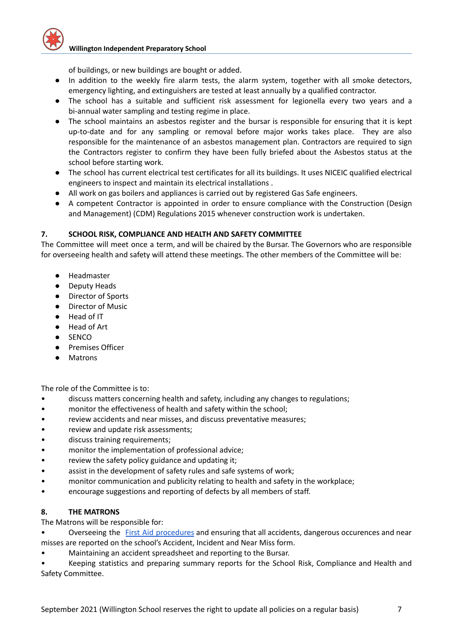

of buildings, or new buildings are bought or added.

- In addition to the weekly fire alarm tests, the alarm system, together with all smoke detectors, emergency lighting, and extinguishers are tested at least annually by a qualified contractor.
- The school has a suitable and sufficient risk assessment for legionella every two years and a bi-annual water sampling and testing regime in place.
- The school maintains an asbestos register and the bursar is responsible for ensuring that it is kept up-to-date and for any sampling or removal before major works takes place. They are also responsible for the maintenance of an asbestos management plan. Contractors are required to sign the Contractors register to confirm they have been fully briefed about the Asbestos status at the school before starting work.
- The school has current electrical test certificates for all its buildings. It uses NICEIC qualified electrical engineers to inspect and maintain its electrical installations .
- All work on gas boilers and appliances is carried out by registered Gas Safe engineers.
- A competent Contractor is appointed in order to ensure compliance with the Construction (Design and Management) (CDM) Regulations 2015 whenever construction work is undertaken.

#### **7. SCHOOL RISK, COMPLIANCE AND HEALTH AND SAFETY COMMITTEE**

The Committee will meet once a term, and will be chaired by the Bursar. The Governors who are responsible for overseeing health and safety will attend these meetings. The other members of the Committee will be:

- Headmaster
- Deputy Heads
- Director of Sports
- Director of Music
- Head of IT
- Head of Art
- SENCO
- Premises Officer
- Matrons

The role of the Committee is to:

- discuss matters concerning health and safety, including any changes to regulations;
- monitor the effectiveness of health and safety within the school;
- review accidents and near misses, and discuss preventative measures;
- review and update risk assessments;
- discuss training requirements;
- monitor the implementation of professional advice;
- review the safety policy guidance and updating it;
- assist in the development of safety rules and safe systems of work;
- monitor communication and publicity relating to health and safety in the workplace;
- encourage suggestions and reporting of defects by all members of staff.

#### **8. THE MATRONS**

The Matrons will be responsible for:

Overseeing the First Aid [procedures](https://docs.google.com/document/d/1re_k11HLquLwsQZ_fYVW16xLe3fhPeRw/edit) and ensuring that all accidents, dangerous occurences and near misses are reported on the school's Accident, Incident and Near Miss form.

• Maintaining an accident spreadsheet and reporting to the Bursar.

• Keeping statistics and preparing summary reports for the School Risk, Compliance and Health and Safety Committee.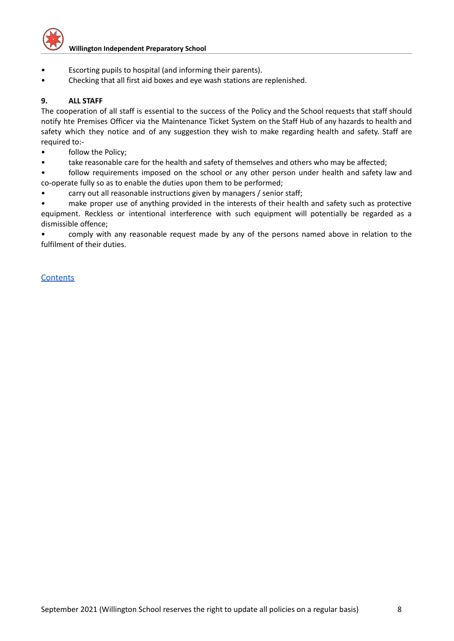

- Escorting pupils to hospital (and informing their parents).
- Checking that all first aid boxes and eye wash stations are replenished.

#### **9. ALL STAFF**

The cooperation of all staff is essential to the success of the Policy and the School requests that staff should notify hte Premises Officer via the Maintenance Ticket System on the Staff Hub of any hazards to health and safety which they notice and of any suggestion they wish to make regarding health and safety. Staff are required to:-

- follow the Policy;
- take reasonable care for the health and safety of themselves and others who may be affected;

follow requirements imposed on the school or any other person under health and safety law and co-operate fully so as to enable the duties upon them to be performed;

• carry out all reasonable instructions given by managers / senior staff;

make proper use of anything provided in the interests of their health and safety such as protective equipment. Reckless or intentional interference with such equipment will potentially be regarded as a dismissible offence;

• comply with any reasonable request made by any of the persons named above in relation to the fulfilment of their duties.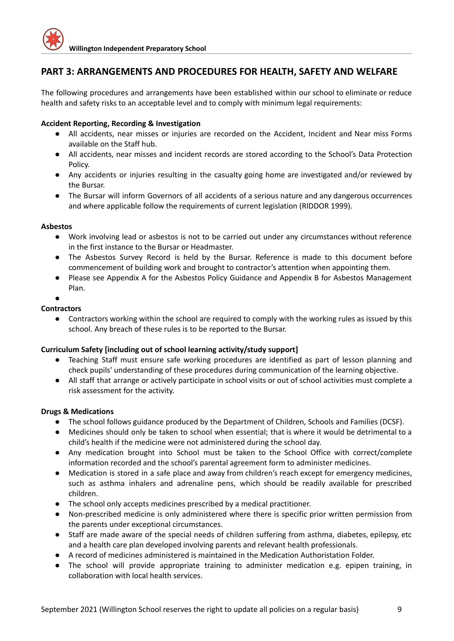# <span id="page-8-0"></span>**PART 3: ARRANGEMENTS AND PROCEDURES FOR HEALTH, SAFETY AND WELFARE**

The following procedures and arrangements have been established within our school to eliminate or reduce health and safety risks to an acceptable level and to comply with minimum legal requirements:

#### **Accident Reporting, Recording & Investigation**

- All accidents, near misses or injuries are recorded on the Accident, Incident and Near miss Forms available on the Staff hub.
- All accidents, near misses and incident records are stored according to the School's Data Protection Policy.
- Any accidents or injuries resulting in the casualty going home are investigated and/or reviewed by the Bursar.
- The Bursar will inform Governors of all accidents of a serious nature and any dangerous occurrences and where applicable follow the requirements of current legislation (RIDDOR 1999).

#### **Asbestos**

- Work involving lead or asbestos is not to be carried out under any circumstances without reference in the first instance to the Bursar or Headmaster.
- The Asbestos Survey Record is held by the Bursar. Reference is made to this document before commencement of building work and brought to contractor's attention when appointing them.
- Please see Appendix A for the Asbestos Policy Guidance and Appendix B for Asbestos Management Plan.
- $\bullet$

#### **Contractors**

● Contractors working within the school are required to comply with the working rules as issued by this school. Any breach of these rules is to be reported to the Bursar.

#### **Curriculum Safety [including out of school learning activity/study support]**

- Teaching Staff must ensure safe working procedures are identified as part of lesson planning and check pupils' understanding of these procedures during communication of the learning objective.
- All staff that arrange or actively participate in school visits or out of school activities must complete a risk assessment for the activity.

#### **Drugs & Medications**

- The school follows guidance produced by the Department of Children, Schools and Families (DCSF).
- Medicines should only be taken to school when essential; that is where it would be detrimental to a child's health if the medicine were not administered during the school day.
- Any medication brought into School must be taken to the School Office with correct/complete information recorded and the school's parental agreement form to administer medicines.
- Medication is stored in a safe place and away from children's reach except for emergency medicines, such as asthma inhalers and adrenaline pens, which should be readily available for prescribed children.
- The school only accepts medicines prescribed by a medical practitioner.
- Non-prescribed medicine is only administered where there is specific prior written permission from the parents under exceptional circumstances.
- Staff are made aware of the special needs of children suffering from asthma, diabetes, epilepsy, etc and a health care plan developed involving parents and relevant health professionals.
- A record of medicines administered is maintained in the Medication Authoristation Folder.
- The school will provide appropriate training to administer medication e.g. epipen training, in collaboration with local health services.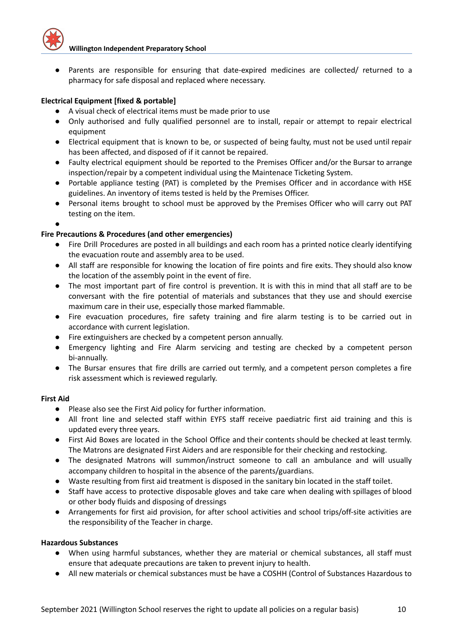

Parents are responsible for ensuring that date-expired medicines are collected/ returned to a pharmacy for safe disposal and replaced where necessary.

#### **Electrical Equipment [fixed & portable]**

- A visual check of electrical items must be made prior to use
- Only authorised and fully qualified personnel are to install, repair or attempt to repair electrical equipment
- Electrical equipment that is known to be, or suspected of being faulty, must not be used until repair has been affected, and disposed of if it cannot be repaired.
- Faulty electrical equipment should be reported to the Premises Officer and/or the Bursar to arrange inspection/repair by a competent individual using the Maintenace Ticketing System.
- Portable appliance testing (PAT) is completed by the Premises Officer and in accordance with HSE guidelines. An inventory of items tested is held by the Premises Officer.
- Personal items brought to school must be approved by the Premises Officer who will carry out PAT testing on the item.
- ●

#### **Fire Precautions & Procedures (and other emergencies)**

- Fire Drill Procedures are posted in all buildings and each room has a printed notice clearly identifying the evacuation route and assembly area to be used.
- All staff are responsible for knowing the location of fire points and fire exits. They should also know the location of the assembly point in the event of fire.
- The most important part of fire control is prevention. It is with this in mind that all staff are to be conversant with the fire potential of materials and substances that they use and should exercise maximum care in their use, especially those marked flammable.
- Fire evacuation procedures, fire safety training and fire alarm testing is to be carried out in accordance with current legislation.
- Fire extinguishers are checked by a competent person annually.
- Emergency lighting and Fire Alarm servicing and testing are checked by a competent person bi-annually.
- The Bursar ensures that fire drills are carried out termly, and a competent person completes a fire risk assessment which is reviewed regularly.

#### **First Aid**

- Please also see the First Aid policy for further information.
- All front line and selected staff within EYFS staff receive paediatric first aid training and this is updated every three years.
- First Aid Boxes are located in the School Office and their contents should be checked at least termly. The Matrons are designated First Aiders and are responsible for their checking and restocking.
- The designated Matrons will summon/instruct someone to call an ambulance and will usually accompany children to hospital in the absence of the parents/guardians.
- Waste resulting from first aid treatment is disposed in the sanitary bin located in the staff toilet.
- Staff have access to protective disposable gloves and take care when dealing with spillages of blood or other body fluids and disposing of dressings
- Arrangements for first aid provision, for after school activities and school trips/off-site activities are the responsibility of the Teacher in charge.

#### **Hazardous Substances**

- When using harmful substances, whether they are material or chemical substances, all staff must ensure that adequate precautions are taken to prevent injury to health.
- All new materials or chemical substances must be have a COSHH (Control of Substances Hazardous to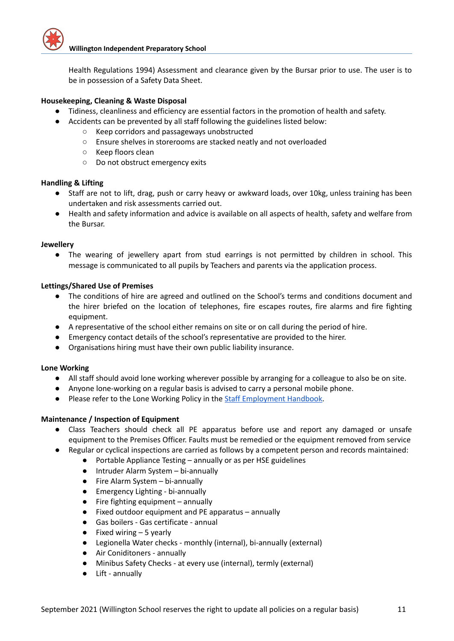

Health Regulations 1994) Assessment and clearance given by the Bursar prior to use. The user is to be in possession of a Safety Data Sheet.

#### **Housekeeping, Cleaning & Waste Disposal**

- Tidiness, cleanliness and efficiency are essential factors in the promotion of health and safety.
- Accidents can be prevented by all staff following the guidelines listed below:
	- Keep corridors and passageways unobstructed
	- Ensure shelves in storerooms are stacked neatly and not overloaded
	- Keep floors clean
	- Do not obstruct emergency exits

#### **Handling & Lifting**

- Staff are not to lift, drag, push or carry heavy or awkward loads, over 10kg, unless training has been undertaken and risk assessments carried out.
- Health and safety information and advice is available on all aspects of health, safety and welfare from the Bursar.

#### **Jewellery**

● The wearing of jewellery apart from stud earrings is not permitted by children in school. This message is communicated to all pupils by Teachers and parents via the application process.

#### **Lettings/Shared Use of Premises**

- The conditions of hire are agreed and outlined on the School's terms and conditions document and the hirer briefed on the location of telephones, fire escapes routes, fire alarms and fire fighting equipment.
- A representative of the school either remains on site or on call during the period of hire.
- Emergency contact details of the school's representative are provided to the hirer.
- Organisations hiring must have their own public liability insurance.

#### **Lone Working**

- All staff should avoid lone working wherever possible by arranging for a colleague to also be on site.
- Anyone lone-working on a regular basis is advised to carry a personal mobile phone.
- Please refer to the Lone Working Policy in the **Staff [Employment](https://docs.google.com/document/d/1pzflroaIauU2qIhdfk7rMvbO0YkzmOLw/edit#bookmark=id.qjb9bskwdcm7) Handbook**.

#### **Maintenance / Inspection of Equipment**

- Class Teachers should check all PE apparatus before use and report any damaged or unsafe equipment to the Premises Officer. Faults must be remedied or the equipment removed from service
- Regular or cyclical inspections are carried as follows by a competent person and records maintained:
	- Portable Appliance Testing annually or as per HSE guidelines
	- Intruder Alarm System bi-annually
	- Fire Alarm System bi-annually
	- Emergency Lighting bi-annually
	- Fire fighting equipment annually
	- Fixed outdoor equipment and PE apparatus annually
	- Gas boilers Gas certificate annual
	- $\bullet$  Fixed wiring  $-5$  yearly
	- Legionella Water checks monthly (internal), bi-annually (external)
	- Air Coniditoners annually
	- Minibus Safety Checks at every use (internal), termly (external)
	- Lift annually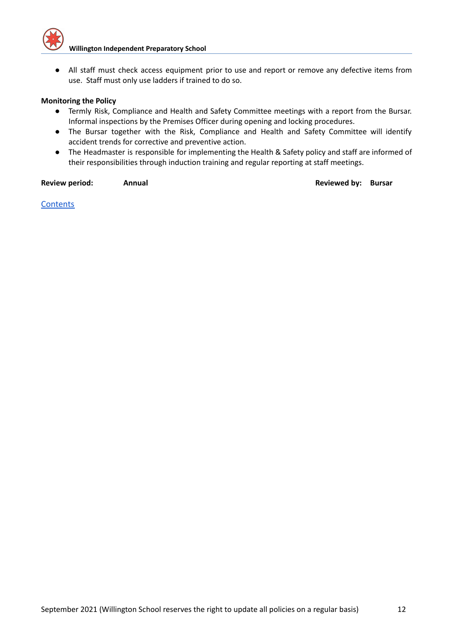

● All staff must check access equipment prior to use and report or remove any defective items from use. Staff must only use ladders if trained to do so.

#### **Monitoring the Policy**

- Termly Risk, Compliance and Health and Safety Committee meetings with a report from the Bursar. Informal inspections by the Premises Officer during opening and locking procedures.
- The Bursar together with the Risk, Compliance and Health and Safety Committee will identify accident trends for corrective and preventive action.
- The Headmaster is responsible for implementing the Health & Safety policy and staff are informed of their responsibilities through induction training and regular reporting at staff meetings.

#### **Review period: Annual Reviewed by: Bursar**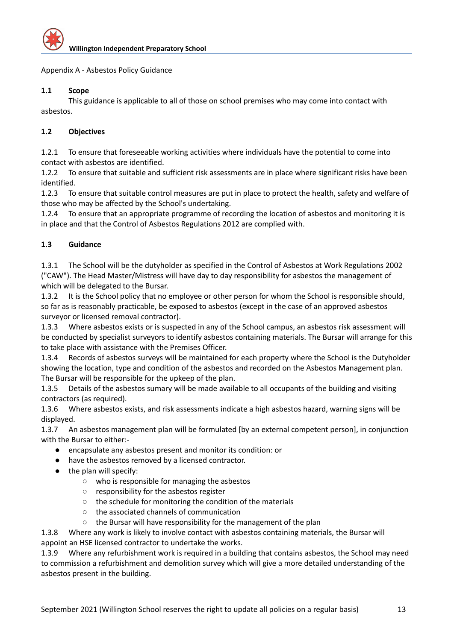

<span id="page-12-0"></span>Appendix A - Asbestos Policy Guidance

#### **1.1 Scope**

This guidance is applicable to all of those on school premises who may come into contact with asbestos.

#### **1.2 Objectives**

1.2.1 To ensure that foreseeable working activities where individuals have the potential to come into contact with asbestos are identified.

1.2.2 To ensure that suitable and sufficient risk assessments are in place where significant risks have been identified.

1.2.3 To ensure that suitable control measures are put in place to protect the health, safety and welfare of those who may be affected by the School's undertaking.

1.2.4 To ensure that an appropriate programme of recording the location of asbestos and monitoring it is in place and that the Control of Asbestos Regulations 2012 are complied with.

#### **1.3 Guidance**

1.3.1 The School will be the dutyholder as specified in the Control of Asbestos at Work Regulations 2002 ("CAW"). The Head Master/Mistress will have day to day responsibility for asbestos the management of which will be delegated to the Bursar.

1.3.2 It is the School policy that no employee or other person for whom the School is responsible should, so far as is reasonably practicable, be exposed to asbestos (except in the case of an approved asbestos surveyor or licensed removal contractor).

1.3.3 Where asbestos exists or is suspected in any of the School campus, an asbestos risk assessment will be conducted by specialist surveyors to identify asbestos containing materials. The Bursar will arrange for this to take place with assistance with the Premises Officer.

1.3.4 Records of asbestos surveys will be maintained for each property where the School is the Dutyholder showing the location, type and condition of the asbestos and recorded on the Asbestos Management plan. The Bursar will be responsible for the upkeep of the plan.

1.3.5 Details of the asbestos sumary will be made available to all occupants of the building and visiting contractors (as required).

1.3.6 Where asbestos exists, and risk assessments indicate a high asbestos hazard, warning signs will be displayed.

1.3.7 An asbestos management plan will be formulated [by an external competent person], in conjunction with the Bursar to either:-

- encapsulate any asbestos present and monitor its condition: or
- have the asbestos removed by a licensed contractor.
- the plan will specify:
	- who is responsible for managing the asbestos
	- responsibility for the asbestos register
	- the schedule for monitoring the condition of the materials
	- the associated channels of communication
	- the Bursar will have responsibility for the management of the plan

1.3.8 Where any work is likely to involve contact with asbestos containing materials, the Bursar will

appoint an HSE licensed contractor to undertake the works.

1.3.9 Where any refurbishment work is required in a building that contains asbestos, the School may need to commission a refurbishment and demolition survey which will give a more detailed understanding of the asbestos present in the building.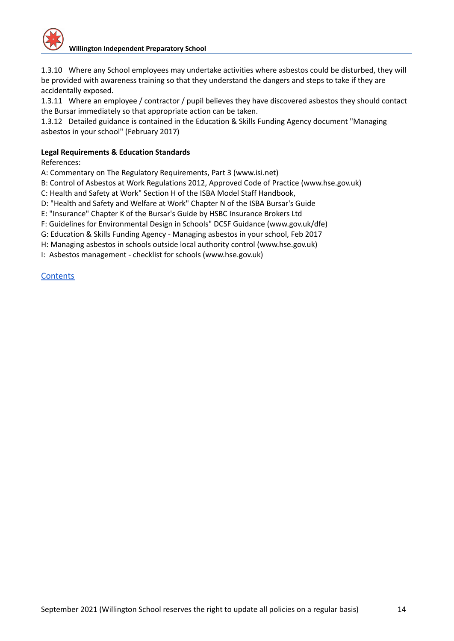

1.3.10 Where any School employees may undertake activities where asbestos could be disturbed, they will be provided with awareness training so that they understand the dangers and steps to take if they are accidentally exposed.

1.3.11 Where an employee / contractor / pupil believes they have discovered asbestos they should contact the Bursar immediately so that appropriate action can be taken.

1.3.12 Detailed guidance is contained in the Education & Skills Funding Agency document "Managing asbestos in your school" (February 2017)

#### **Legal Requirements & Education Standards**

References:

A: Commentary on The Regulatory Requirements, Part 3 (www.isi.net)

B: Control of Asbestos at Work Regulations 2012, Approved Code of Practice (www.hse.gov.uk)

C: Health and Safety at Work" Section H of the ISBA Model Staff Handbook,

D: "Health and Safety and Welfare at Work" Chapter N of the ISBA Bursar's Guide

E: "Insurance" Chapter K of the Bursar's Guide by HSBC Insurance Brokers Ltd

F: Guidelines for Environmental Design in Schools" DCSF Guidance (www.gov.uk/dfe)

G: Education & Skills Funding Agency - Managing asbestos in your school, Feb 2017

H: Managing asbestos in schools outside local authority control (www.hse.gov.uk)

I: Asbestos management - checklist for schools (www.hse.gov.uk)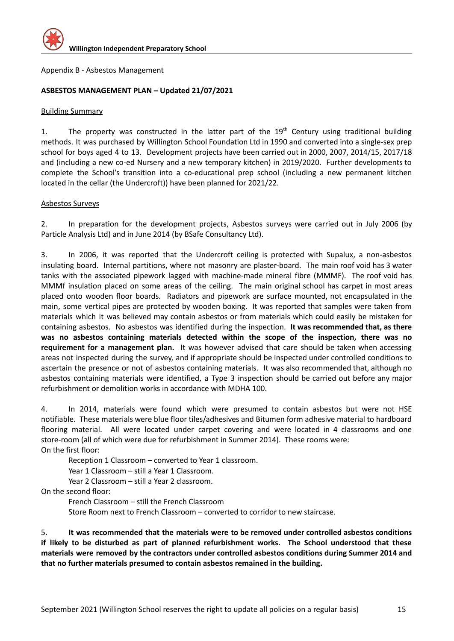

<span id="page-14-0"></span>Appendix B - Asbestos Management

#### **ASBESTOS MANAGEMENT PLAN – Updated 21/07/2021**

#### Building Summary

1. The property was constructed in the latter part of the 19<sup>th</sup> Century using traditional building methods. It was purchased by Willington School Foundation Ltd in 1990 and converted into a single-sex prep school for boys aged 4 to 13. Development projects have been carried out in 2000, 2007, 2014/15, 2017/18 and (including a new co-ed Nursery and a new temporary kitchen) in 2019/2020. Further developments to complete the School's transition into a co-educational prep school (including a new permanent kitchen located in the cellar (the Undercroft)) have been planned for 2021/22.

#### Asbestos Surveys

2. In preparation for the development projects, Asbestos surveys were carried out in July 2006 (by Particle Analysis Ltd) and in June 2014 (by BSafe Consultancy Ltd).

3. In 2006, it was reported that the Undercroft ceiling is protected with Supalux, a non-asbestos insulating board. Internal partitions, where not masonry are plaster-board. The main roof void has 3 water tanks with the associated pipework lagged with machine-made mineral fibre (MMMF). The roof void has MMMf insulation placed on some areas of the ceiling. The main original school has carpet in most areas placed onto wooden floor boards. Radiators and pipework are surface mounted, not encapsulated in the main, some vertical pipes are protected by wooden boxing. It was reported that samples were taken from materials which it was believed may contain asbestos or from materials which could easily be mistaken for containing asbestos. No asbestos was identified during the inspection. **It was recommended that, as there was no asbestos containing materials detected within the scope of the inspection, there was no requirement for a management plan.** It was however advised that care should be taken when accessing areas not inspected during the survey, and if appropriate should be inspected under controlled conditions to ascertain the presence or not of asbestos containing materials. It was also recommended that, although no asbestos containing materials were identified, a Type 3 inspection should be carried out before any major refurbishment or demolition works in accordance with MDHA 100.

4. In 2014, materials were found which were presumed to contain asbestos but were not HSE notifiable. These materials were blue floor tiles/adhesives and Bitumen form adhesive material to hardboard flooring material. All were located under carpet covering and were located in 4 classrooms and one store-room (all of which were due for refurbishment in Summer 2014). These rooms were: On the first floor:

Reception 1 Classroom – converted to Year 1 classroom.

Year 1 Classroom - still a Year 1 Classroom.

Year 2 Classroom – still a Year 2 classroom.

On the second floor:

French Classroom – still the French Classroom Store Room next to French Classroom – converted to corridor to new staircase.

5. **It was recommended that the materials were to be removed under controlled asbestos conditions if likely to be disturbed as part of planned refurbishment works. The School understood that these materials were removed by the contractors under controlled asbestos conditions during Summer 2014 and that no further materials presumed to contain asbestos remained in the building.**